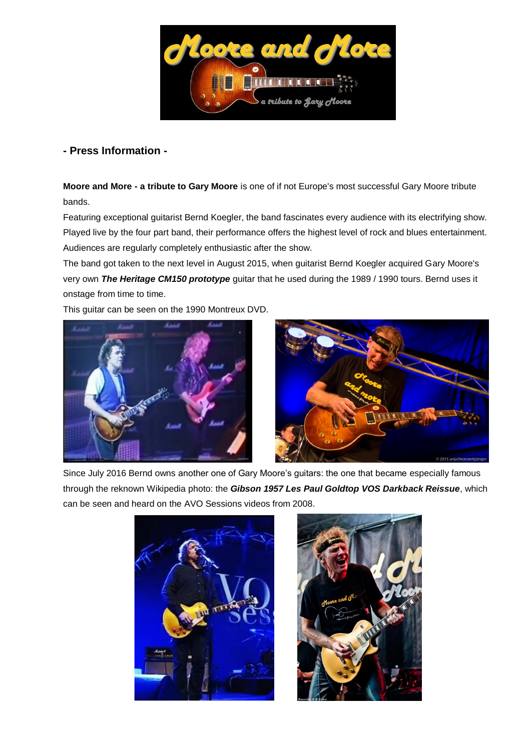

## **- Press Information -**

**Moore and More - a tribute to Gary Moore** is one of if not Europe's most successful Gary Moore tribute bands.

Featuring exceptional guitarist Bernd Koegler, the band fascinates every audience with its electrifying show. Played live by the four part band, their performance offers the highest level of rock and blues entertainment. Audiences are regularly completely enthusiastic after the show.

The band got taken to the next level in August 2015, when guitarist Bernd Koegler acquired Gary Moore's very own *The Heritage CM150 prototype* guitar that he used during the 1989 / 1990 tours. Bernd uses it onstage from time to time.

This guitar can be seen on the 1990 Montreux DVD.





Since July 2016 Bernd owns another one of Gary Moore's guitars: the one that became especially famous through the reknown [Wikipedia](https://commons.wikimedia.org/wiki/File%3AGary-Moore-at-Pite-Havsbad.jpg) photo: the *Gibson 1957 Les Paul Goldtop VOS Darkback Reissue*, which can be seen and heard on the AVO Sessions videos from 2008.



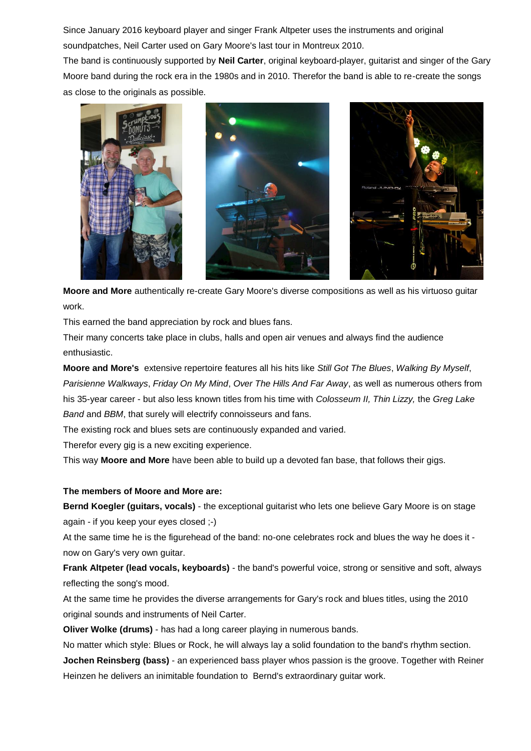Since January 2016 keyboard player and singer Frank Altpeter uses the instruments and original soundpatches, Neil Carter used on Gary Moore's last tour in Montreux 2010.

The band is continuously supported by **Neil Carter**, original keyboard-player, guitarist and singer of the Gary Moore band during the rock era in the 1980s and in 2010. Therefor the band is able to re-create the songs as close to the originals as possible.





**Moore and More** authentically re-create Gary Moore's diverse compositions as well as his virtuoso guitar work.

This earned the band appreciation by rock and blues fans.

Their many concerts take place in clubs, halls and open air venues and always find the audience enthusiastic.

**Moore and More's** extensive repertoire features all his hits like *Still Got The Blues*, *Walking By Myself*, *Parisienne Walkways*, *Friday On My Mind*, *Over The Hills And Far Away*, as well as numerous others from his 35-year career - but also less known titles from his time with *Colosseum II, Thin Lizzy,* the *Greg Lake Band* and *BBM*, that surely will electrify connoisseurs and fans.

The existing rock and blues sets are continuously expanded and varied.

Therefor every gig is a new exciting experience.

This way **Moore and More** have been able to build up a devoted fan base, that follows their gigs.

## **The members of Moore and More are:**

**Bernd Koegler (guitars, vocals)** - the exceptional guitarist who lets one believe Gary Moore is on stage again - if you keep your eyes closed ;-)

At the same time he is the figurehead of the band: no-one celebrates rock and blues the way he does it now on Gary's very own guitar.

**Frank Altpeter (lead vocals, keyboards)** - the band's powerful voice, strong or sensitive and soft, always reflecting the song's mood.

At the same time he provides the diverse arrangements for Gary's rock and blues titles, using the 2010 original sounds and instruments of Neil Carter.

**Oliver Wolke (drums)** - has had a long career playing in numerous bands.

No matter which style: Blues or Rock, he will always lay a solid foundation to the band's rhythm section.

**Jochen Reinsberg (bass)** - an experienced bass player whos passion is the groove. Together with Reiner Heinzen he delivers an inimitable foundation to Bernd's extraordinary guitar work.